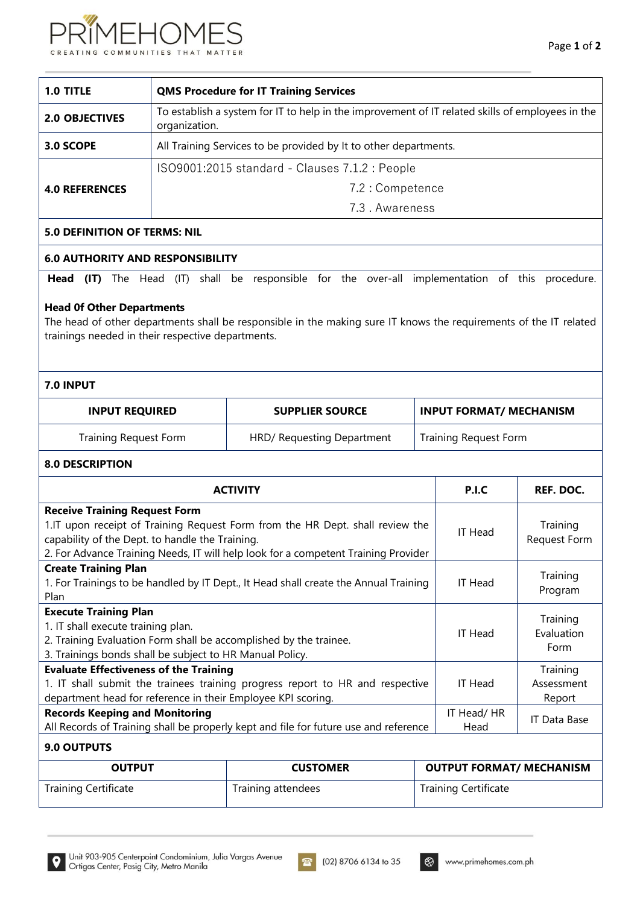

| 1.0 TITLE             | <b>QMS Procedure for IT Training Services</b>                                                                     |  |  |
|-----------------------|-------------------------------------------------------------------------------------------------------------------|--|--|
| <b>2.0 OBJECTIVES</b> | To establish a system for IT to help in the improvement of IT related skills of employees in the<br>organization. |  |  |
| 3.0 SCOPE             | All Training Services to be provided by It to other departments.                                                  |  |  |
|                       | ISO9001:2015 standard - Clauses 7.1.2 : People                                                                    |  |  |
| <b>4.0 REFERENCES</b> | 7.2 : Competence                                                                                                  |  |  |
|                       | 7.3. Awareness                                                                                                    |  |  |
|                       |                                                                                                                   |  |  |

# **5.0 DEFINITION OF TERMS: NIL**

### **6.0 AUTHORITY AND RESPONSIBILITY**

**Head (IT)** The Head (IT) shall be responsible for the over-all implementation of this procedure.

#### **Head 0f Other Departments**

The head of other departments shall be responsible in the making sure IT knows the requirements of the IT related trainings needed in their respective departments.

# **7.0 INPUT**

| <b>INPUT REQUIRED</b> | <b>SUPPLIER SOURCE</b>     | <b>INPUT FORMAT/ MECHANISM</b> |  |
|-----------------------|----------------------------|--------------------------------|--|
| Training Request Form | HRD/ Requesting Department | Training Request Form          |  |

#### **8.0 DESCRIPTION**

| <b>ACTIVITY</b>                                                                      | P.I.C                                                                                | REF. DOC.                       |                    |              |
|--------------------------------------------------------------------------------------|--------------------------------------------------------------------------------------|---------------------------------|--------------------|--------------|
| <b>Receive Training Request Form</b>                                                 |                                                                                      |                                 |                    |              |
|                                                                                      | 1.IT upon receipt of Training Request Form from the HR Dept. shall review the        |                                 |                    | Training     |
| capability of the Dept. to handle the Training.                                      |                                                                                      |                                 | IT Head            | Request Form |
|                                                                                      | 2. For Advance Training Needs, IT will help look for a competent Training Provider   |                                 |                    |              |
| <b>Create Training Plan</b>                                                          |                                                                                      |                                 |                    |              |
|                                                                                      | 1. For Trainings to be handled by IT Dept., It Head shall create the Annual Training |                                 | <b>IT Head</b>     | Training     |
| Plan                                                                                 |                                                                                      |                                 |                    | Program      |
| <b>Execute Training Plan</b>                                                         |                                                                                      |                                 |                    |              |
| 1. IT shall execute training plan.                                                   |                                                                                      | IT Head                         | Training           |              |
| 2. Training Evaluation Form shall be accomplished by the trainee.                    |                                                                                      |                                 | Evaluation<br>Form |              |
| 3. Trainings bonds shall be subject to HR Manual Policy.                             |                                                                                      |                                 |                    |              |
| <b>Evaluate Effectiveness of the Training</b>                                        |                                                                                      |                                 |                    | Training     |
| 1. IT shall submit the trainees training progress report to HR and respective        |                                                                                      |                                 | IT Head            | Assessment   |
| department head for reference in their Employee KPI scoring.                         |                                                                                      |                                 |                    | Report       |
| <b>Records Keeping and Monitoring</b>                                                |                                                                                      |                                 | IT Head/HR         |              |
| All Records of Training shall be properly kept and file for future use and reference |                                                                                      |                                 | Head               | IT Data Base |
| 9.0 OUTPUTS                                                                          |                                                                                      |                                 |                    |              |
| <b>OUTPUT</b>                                                                        | <b>CUSTOMER</b>                                                                      | <b>OUTPUT FORMAT/ MECHANISM</b> |                    |              |
| <b>Training Certificate</b>                                                          | Training attendees<br><b>Training Certificate</b>                                    |                                 |                    |              |

 $\bullet$